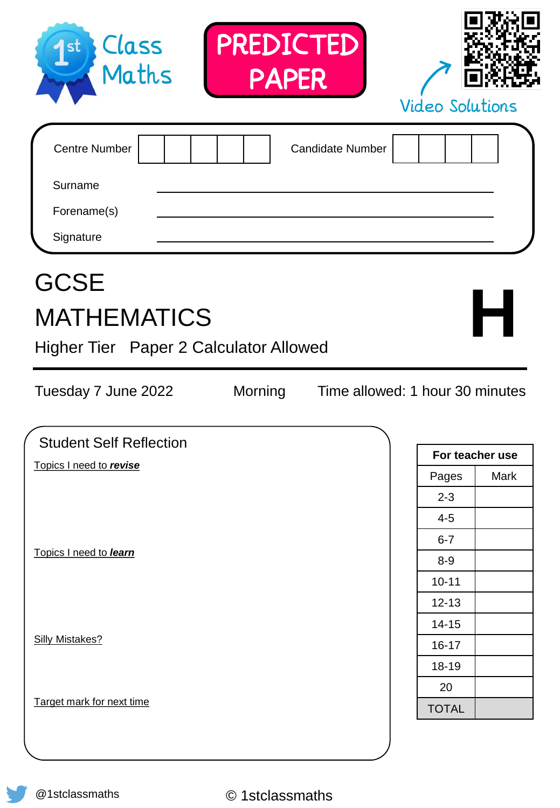| Forename(s)<br>Signature<br><b>GCSE</b><br><b>MATHEMATICS</b><br>Higher Tier Paper 2 Calculator Allowed |         |                                 |                 | H    |
|---------------------------------------------------------------------------------------------------------|---------|---------------------------------|-----------------|------|
| Tuesday 7 June 2022                                                                                     | Morning | Time allowed: 1 hour 30 minutes |                 |      |
| <b>Student Self Reflection</b>                                                                          |         |                                 | For teacher use |      |
| Topics I need to revise                                                                                 |         |                                 | Pages           | Mark |
|                                                                                                         |         |                                 | $2 - 3$         |      |
|                                                                                                         |         |                                 | $4 - 5$         |      |
|                                                                                                         |         |                                 | $6 - 7$         |      |
| Topics I need to learn                                                                                  |         |                                 | $8 - 9$         |      |
|                                                                                                         |         |                                 | $10 - 11$       |      |
|                                                                                                         |         |                                 | $12 - 13$       |      |
|                                                                                                         |         |                                 | $14 - 15$       |      |
| <b>Silly Mistakes?</b>                                                                                  |         |                                 | $16 - 17$       |      |
|                                                                                                         |         |                                 | 18-19           |      |
|                                                                                                         |         |                                 | 20              |      |
| Target mark for next time                                                                               |         |                                 | <b>TOTAL</b>    |      |
|                                                                                                         |         |                                 |                 |      |

| Class<br><b>1</b> st<br>Maths | PREDICTED<br><b>PAPER</b> | <b>Video Solutions</b> |  |  |
|-------------------------------|---------------------------|------------------------|--|--|
| <b>Centre Number</b>          | <b>Candidate Number</b>   |                        |  |  |
| Surname                       |                           |                        |  |  |
| Forename(s)                   |                           |                        |  |  |
| Signature                     |                           |                        |  |  |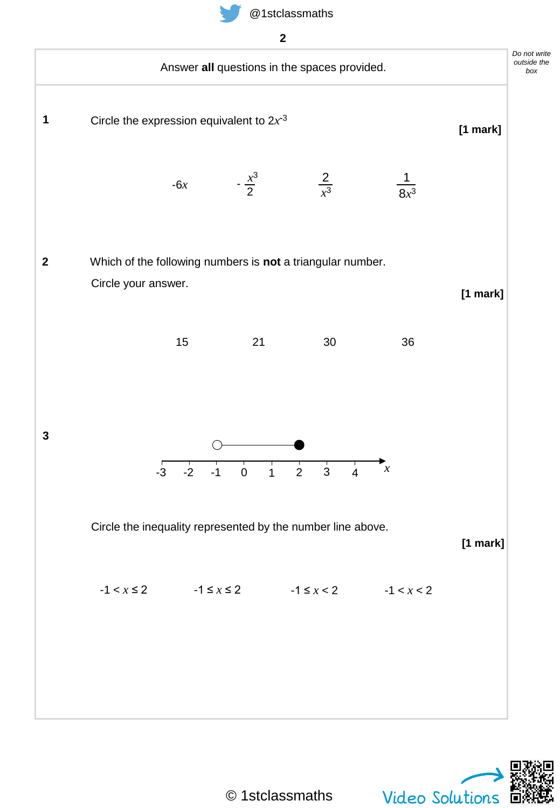



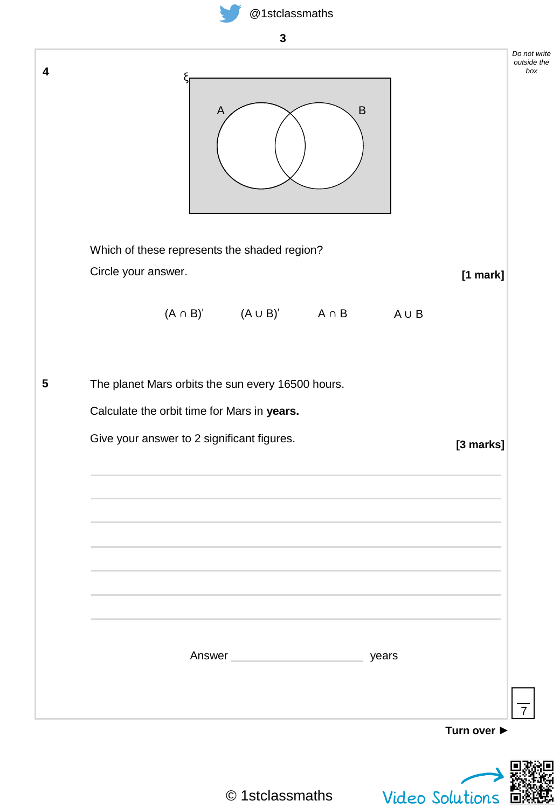

| 4<br>$\sf B$<br>A<br>Which of these represents the shaded region?<br>Circle your answer.<br>[1 mark]<br>$(A \cap B)'$ $(A \cup B)'$ $A \cap B$<br>AUB<br>5<br>The planet Mars orbits the sun every 16500 hours.<br>Calculate the orbit time for Mars in years.<br>Give your answer to 2 significant figures.<br>[3 marks]<br>Answer<br>years<br>Turn over ▶ | 3               |                                    |  |  |  |
|-------------------------------------------------------------------------------------------------------------------------------------------------------------------------------------------------------------------------------------------------------------------------------------------------------------------------------------------------------------|-----------------|------------------------------------|--|--|--|
|                                                                                                                                                                                                                                                                                                                                                             |                 | Do not write<br>outside the<br>box |  |  |  |
|                                                                                                                                                                                                                                                                                                                                                             |                 |                                    |  |  |  |
|                                                                                                                                                                                                                                                                                                                                                             |                 |                                    |  |  |  |
|                                                                                                                                                                                                                                                                                                                                                             |                 |                                    |  |  |  |
|                                                                                                                                                                                                                                                                                                                                                             |                 |                                    |  |  |  |
|                                                                                                                                                                                                                                                                                                                                                             |                 |                                    |  |  |  |
|                                                                                                                                                                                                                                                                                                                                                             |                 |                                    |  |  |  |
|                                                                                                                                                                                                                                                                                                                                                             |                 |                                    |  |  |  |
|                                                                                                                                                                                                                                                                                                                                                             |                 |                                    |  |  |  |
|                                                                                                                                                                                                                                                                                                                                                             |                 |                                    |  |  |  |
|                                                                                                                                                                                                                                                                                                                                                             |                 |                                    |  |  |  |
|                                                                                                                                                                                                                                                                                                                                                             |                 | $\overline{7}$                     |  |  |  |
| © 1stclassmaths                                                                                                                                                                                                                                                                                                                                             | Video Solutions |                                    |  |  |  |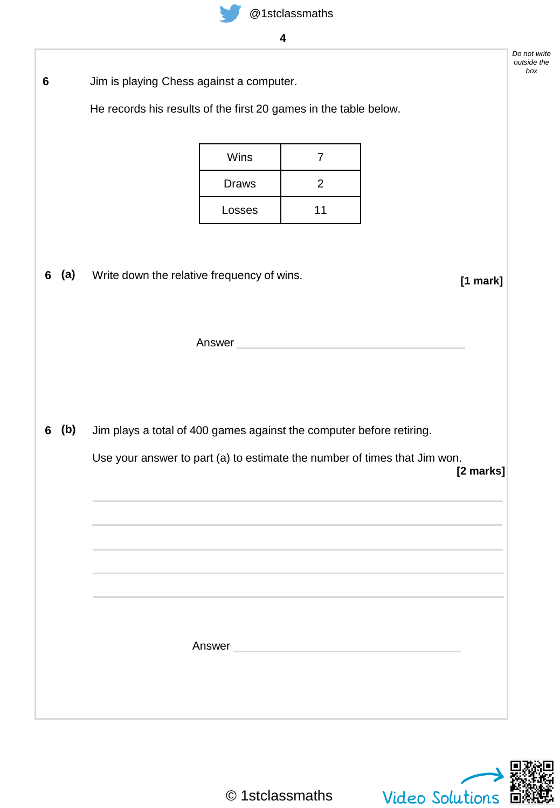

|   |     |                                                                           |                      | 4                                |  |            |  |  |  |
|---|-----|---------------------------------------------------------------------------|----------------------|----------------------------------|--|------------|--|--|--|
| 6 |     | Jim is playing Chess against a computer.                                  |                      |                                  |  |            |  |  |  |
|   |     | He records his results of the first 20 games in the table below.          |                      |                                  |  |            |  |  |  |
|   |     |                                                                           |                      |                                  |  |            |  |  |  |
|   |     |                                                                           | Wins<br><b>Draws</b> | $\overline{7}$<br>$\overline{2}$ |  |            |  |  |  |
|   |     |                                                                           | Losses               | 11                               |  |            |  |  |  |
|   |     |                                                                           |                      |                                  |  |            |  |  |  |
|   |     |                                                                           |                      |                                  |  |            |  |  |  |
| 6 | (a) | Write down the relative frequency of wins.                                |                      |                                  |  | $[1$ mark] |  |  |  |
|   |     |                                                                           |                      |                                  |  |            |  |  |  |
|   |     | Answer                                                                    |                      |                                  |  |            |  |  |  |
|   |     |                                                                           |                      |                                  |  |            |  |  |  |
|   |     |                                                                           |                      |                                  |  |            |  |  |  |
| 6 | (b) | Jim plays a total of 400 games against the computer before retiring.      |                      |                                  |  |            |  |  |  |
|   |     | Use your answer to part (a) to estimate the number of times that Jim won. |                      |                                  |  | [2 marks]  |  |  |  |
|   |     |                                                                           |                      |                                  |  |            |  |  |  |
|   |     |                                                                           |                      |                                  |  |            |  |  |  |
|   |     |                                                                           |                      |                                  |  |            |  |  |  |
|   |     |                                                                           |                      |                                  |  |            |  |  |  |
|   |     |                                                                           |                      |                                  |  |            |  |  |  |
|   |     |                                                                           | Answer <b>Answer</b> |                                  |  |            |  |  |  |
|   |     |                                                                           |                      |                                  |  |            |  |  |  |
|   |     |                                                                           |                      |                                  |  |            |  |  |  |
|   |     |                                                                           |                      |                                  |  |            |  |  |  |



*Do not write outside the box*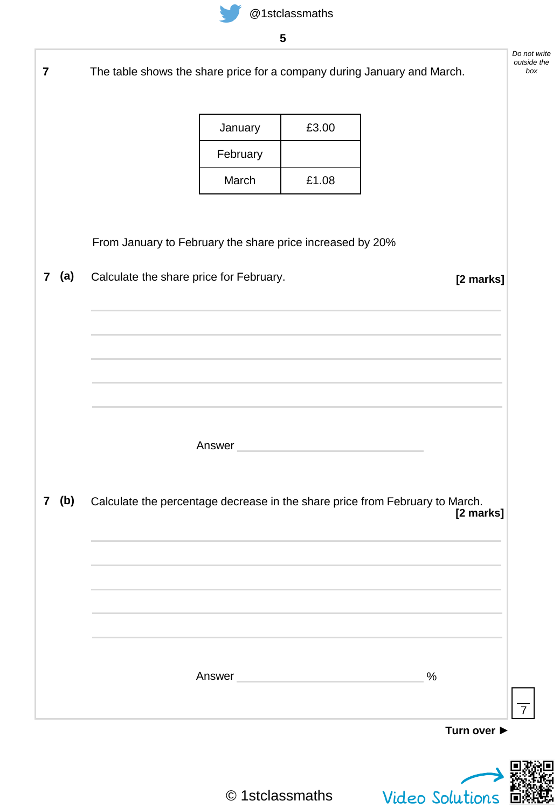|                     | The table shows the share price for a company during January and March. |                                                                                                                |       |                                                                                                                                                                                                                               |
|---------------------|-------------------------------------------------------------------------|----------------------------------------------------------------------------------------------------------------|-------|-------------------------------------------------------------------------------------------------------------------------------------------------------------------------------------------------------------------------------|
|                     |                                                                         | January                                                                                                        | £3.00 |                                                                                                                                                                                                                               |
|                     |                                                                         | February                                                                                                       |       |                                                                                                                                                                                                                               |
|                     |                                                                         | March                                                                                                          | £1.08 |                                                                                                                                                                                                                               |
|                     |                                                                         |                                                                                                                |       |                                                                                                                                                                                                                               |
|                     | From January to February the share price increased by 20%               |                                                                                                                |       |                                                                                                                                                                                                                               |
| (a)<br>$\mathbf{7}$ | Calculate the share price for February.                                 |                                                                                                                |       | [2 marks]                                                                                                                                                                                                                     |
|                     |                                                                         |                                                                                                                |       |                                                                                                                                                                                                                               |
|                     |                                                                         |                                                                                                                |       |                                                                                                                                                                                                                               |
|                     |                                                                         |                                                                                                                |       | the control of the control of the control of the control of the control of the control of the control of the control of the control of the control of the control of the control of the control of the control of the control |
|                     |                                                                         |                                                                                                                |       |                                                                                                                                                                                                                               |
|                     |                                                                         |                                                                                                                |       |                                                                                                                                                                                                                               |
|                     |                                                                         | Answer and the contract of the contract of the contract of the contract of the contract of the contract of the |       |                                                                                                                                                                                                                               |
| (b)                 |                                                                         |                                                                                                                |       | Calculate the percentage decrease in the share price from February to March.<br>[2 marks]                                                                                                                                     |
|                     |                                                                         |                                                                                                                |       |                                                                                                                                                                                                                               |
|                     |                                                                         |                                                                                                                |       |                                                                                                                                                                                                                               |
|                     |                                                                         |                                                                                                                |       |                                                                                                                                                                                                                               |
|                     |                                                                         |                                                                                                                |       |                                                                                                                                                                                                                               |
|                     |                                                                         | Answer and the contract of the contract of the contract of the contract of the contract of the contract of the |       | $\%$                                                                                                                                                                                                                          |
|                     |                                                                         |                                                                                                                |       |                                                                                                                                                                                                                               |
|                     |                                                                         |                                                                                                                |       | Turn over ▶                                                                                                                                                                                                                   |
|                     |                                                                         |                                                                                                                |       |                                                                                                                                                                                                                               |
|                     |                                                                         |                                                                                                                |       |                                                                                                                                                                                                                               |

q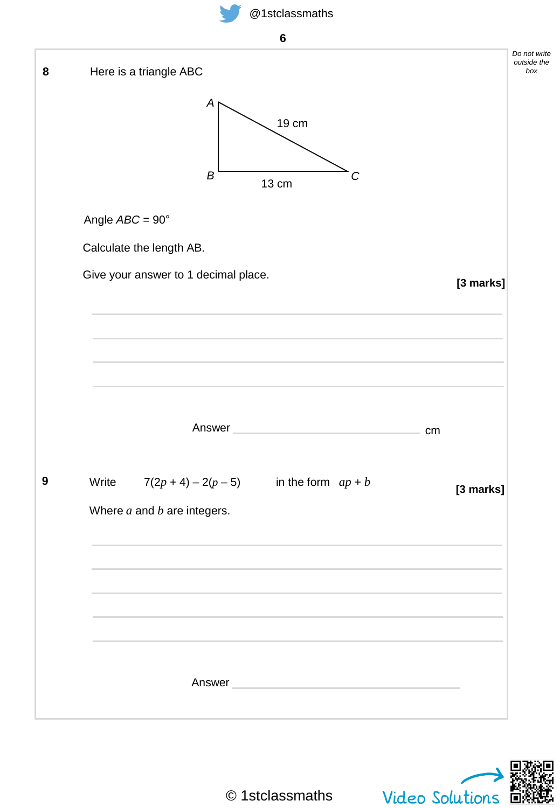**6**

| [3 marks] |
|-----------|
|           |
|           |
|           |
|           |
| cm        |
| [3 marks] |
|           |
|           |
|           |
|           |
|           |
|           |
|           |
|           |

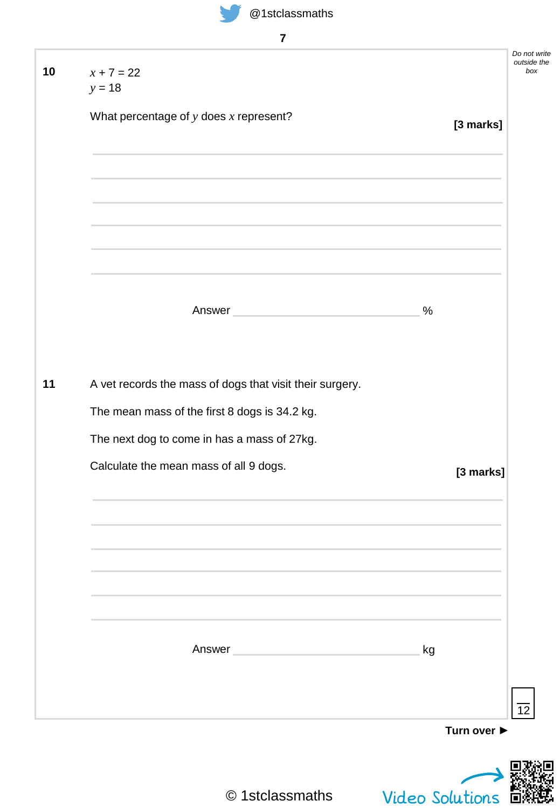| $x + 7 = 22$                                                                                                   |                 |
|----------------------------------------------------------------------------------------------------------------|-----------------|
| $y = 18$                                                                                                       |                 |
| What percentage of $y$ does $x$ represent?                                                                     | [3 marks]       |
|                                                                                                                |                 |
|                                                                                                                |                 |
|                                                                                                                |                 |
| Answer and the contract of the contract of the contract of the contract of the contract of the contract of the | $\%$            |
|                                                                                                                |                 |
| A vet records the mass of dogs that visit their surgery.                                                       |                 |
| The mean mass of the first 8 dogs is 34.2 kg.                                                                  |                 |
| The next dog to come in has a mass of 27kg.                                                                    |                 |
| Calculate the mean mass of all 9 dogs.                                                                         | [3 marks]       |
|                                                                                                                |                 |
|                                                                                                                |                 |
|                                                                                                                |                 |
|                                                                                                                |                 |
|                                                                                                                |                 |
| Answer                                                                                                         | kg              |
|                                                                                                                |                 |
|                                                                                                                | Turn over ▶     |
|                                                                                                                |                 |
| © 1stclassmaths                                                                                                | Video Solutions |

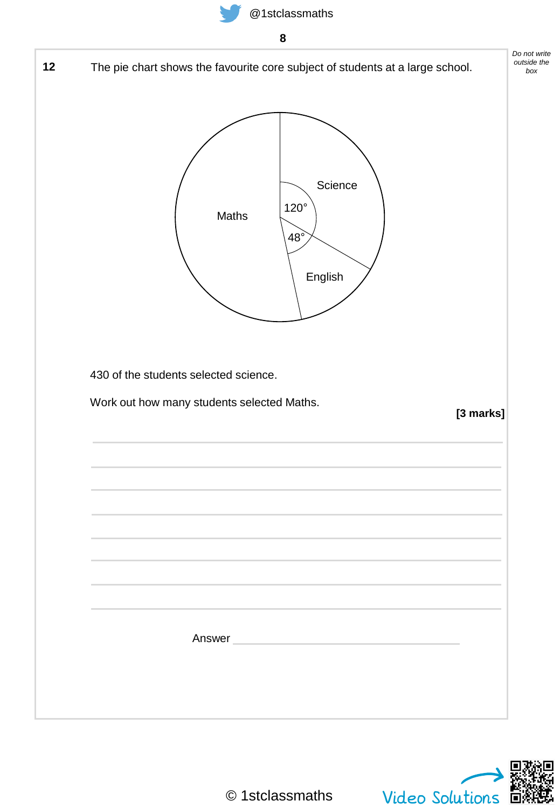

*Do not write outside the box* **12** The pie chart shows the favourite core subject of students at a large school. 120° 48° **Science** English Maths 430 of the students selected science. Work out how many students selected Maths. **[3 marks]** Answer

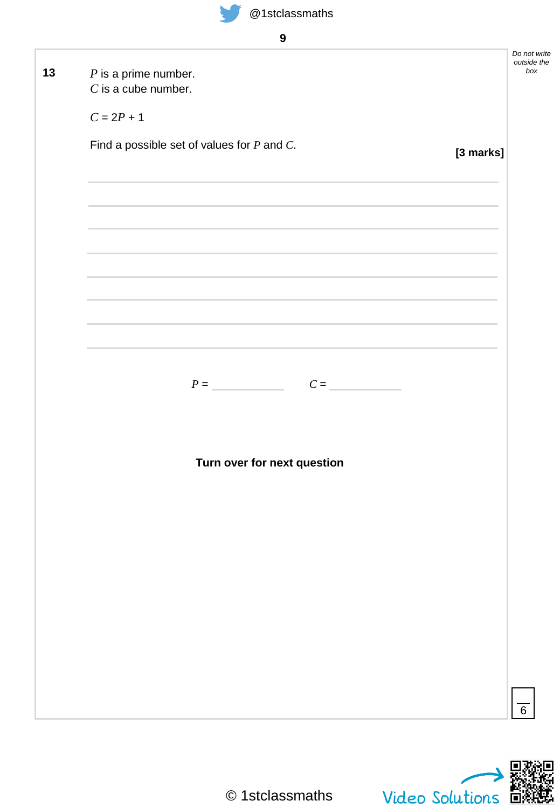

**9**

| Do not write<br>outside the<br>box                                                                               |
|------------------------------------------------------------------------------------------------------------------|
|                                                                                                                  |
|                                                                                                                  |
|                                                                                                                  |
|                                                                                                                  |
|                                                                                                                  |
| [3 marks]                                                                                                        |
|                                                                                                                  |
|                                                                                                                  |
|                                                                                                                  |
|                                                                                                                  |
| and the control of the control of the control of the control of the control of the control of the control of the |
|                                                                                                                  |
|                                                                                                                  |
|                                                                                                                  |
|                                                                                                                  |
|                                                                                                                  |
|                                                                                                                  |
|                                                                                                                  |
|                                                                                                                  |
|                                                                                                                  |
|                                                                                                                  |
|                                                                                                                  |
|                                                                                                                  |
|                                                                                                                  |
|                                                                                                                  |
|                                                                                                                  |
|                                                                                                                  |
|                                                                                                                  |
|                                                                                                                  |
|                                                                                                                  |
|                                                                                                                  |
|                                                                                                                  |
|                                                                                                                  |
|                                                                                                                  |
| $\overline{6}$                                                                                                   |
|                                                                                                                  |

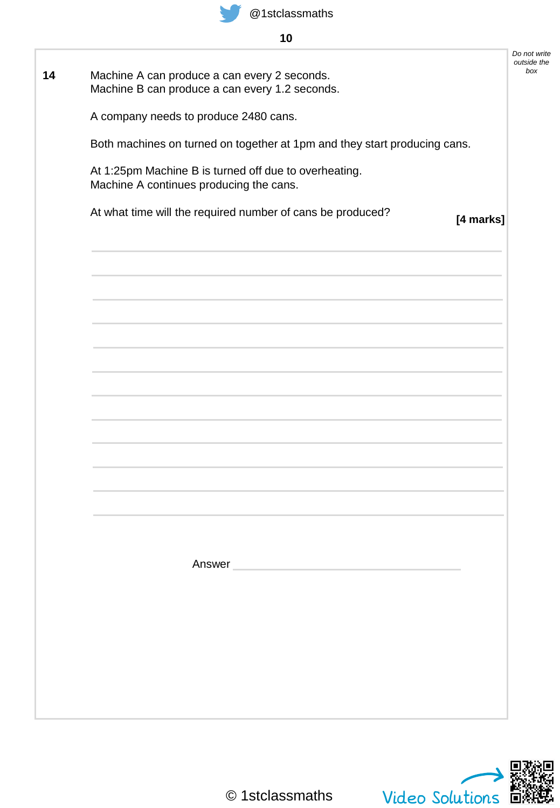

## **10**

| Machine A can produce a can every 2 seconds.                                                                   |           |
|----------------------------------------------------------------------------------------------------------------|-----------|
| Machine B can produce a can every 1.2 seconds.                                                                 |           |
| A company needs to produce 2480 cans.                                                                          |           |
| Both machines on turned on together at 1pm and they start producing cans.                                      |           |
| At 1:25pm Machine B is turned off due to overheating.<br>Machine A continues producing the cans.               |           |
| At what time will the required number of cans be produced?                                                     | [4 marks] |
|                                                                                                                |           |
|                                                                                                                |           |
|                                                                                                                |           |
|                                                                                                                |           |
|                                                                                                                |           |
|                                                                                                                |           |
|                                                                                                                |           |
|                                                                                                                |           |
|                                                                                                                |           |
|                                                                                                                |           |
|                                                                                                                |           |
| Answer and the contract of the contract of the contract of the contract of the contract of the contract of the |           |
|                                                                                                                |           |
|                                                                                                                |           |
|                                                                                                                |           |
|                                                                                                                |           |
|                                                                                                                |           |
|                                                                                                                |           |

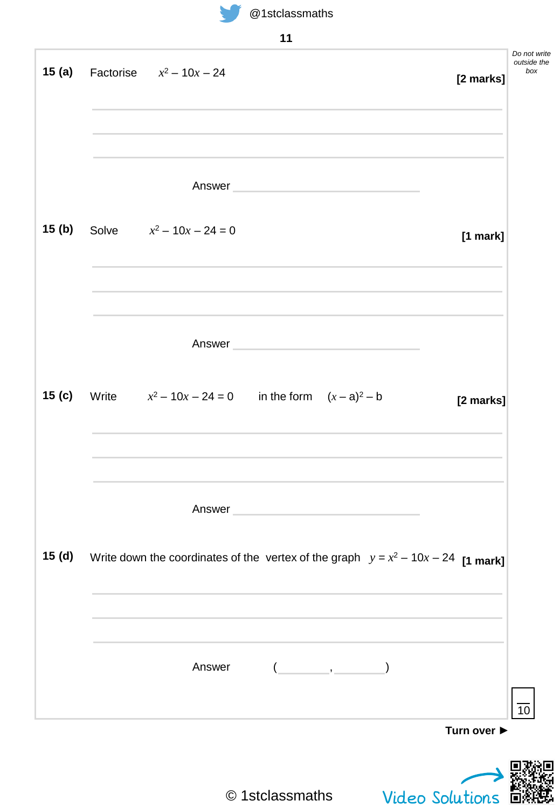

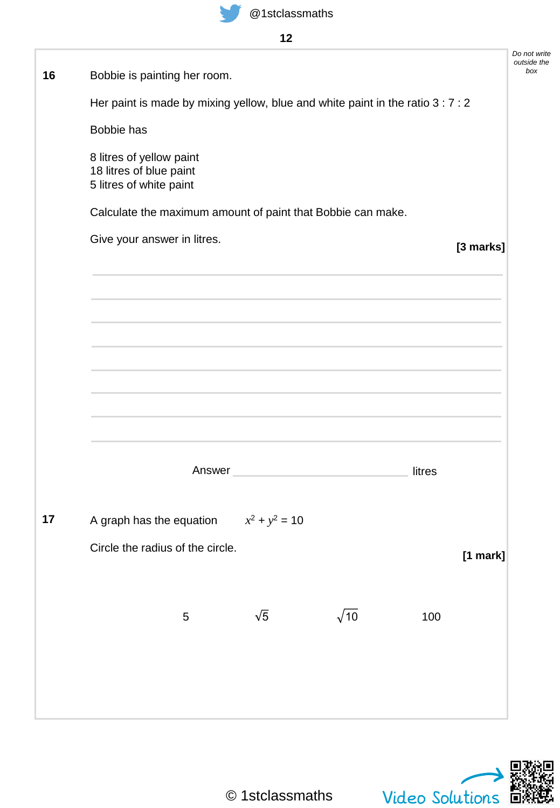| 16 | Bobbie is painting her room.                                                    |                  |                                         |        |            | Do not write<br>outside the<br>box |  |
|----|---------------------------------------------------------------------------------|------------------|-----------------------------------------|--------|------------|------------------------------------|--|
|    | Her paint is made by mixing yellow, blue and white paint in the ratio 3 : 7 : 2 |                  |                                         |        |            |                                    |  |
|    | Bobbie has                                                                      |                  |                                         |        |            |                                    |  |
|    | 8 litres of yellow paint<br>18 litres of blue paint<br>5 litres of white paint  |                  |                                         |        |            |                                    |  |
|    | Calculate the maximum amount of paint that Bobbie can make.                     |                  |                                         |        |            |                                    |  |
|    | Give your answer in litres.                                                     |                  | [3 marks]                               |        |            |                                    |  |
|    |                                                                                 |                  |                                         |        |            |                                    |  |
|    |                                                                                 |                  |                                         |        |            |                                    |  |
|    |                                                                                 |                  |                                         |        |            |                                    |  |
|    |                                                                                 |                  |                                         |        |            |                                    |  |
|    |                                                                                 |                  |                                         |        |            |                                    |  |
|    |                                                                                 |                  |                                         |        |            |                                    |  |
|    | Answer                                                                          |                  | <u> 1980 - Johann Barbara, martxa a</u> | litres |            |                                    |  |
| 17 | A graph has the equation                                                        | $x^2 + y^2 = 10$ |                                         |        |            |                                    |  |
|    | Circle the radius of the circle.                                                |                  |                                         |        | $[1$ mark] |                                    |  |
|    |                                                                                 |                  |                                         |        |            |                                    |  |
|    | $\mathbf 5$                                                                     | $\sqrt{5}$       | $\sqrt{10}$                             | 100    |            |                                    |  |
|    |                                                                                 |                  |                                         |        |            |                                    |  |
|    |                                                                                 |                  |                                         |        |            |                                    |  |
|    |                                                                                 |                  |                                         |        |            |                                    |  |

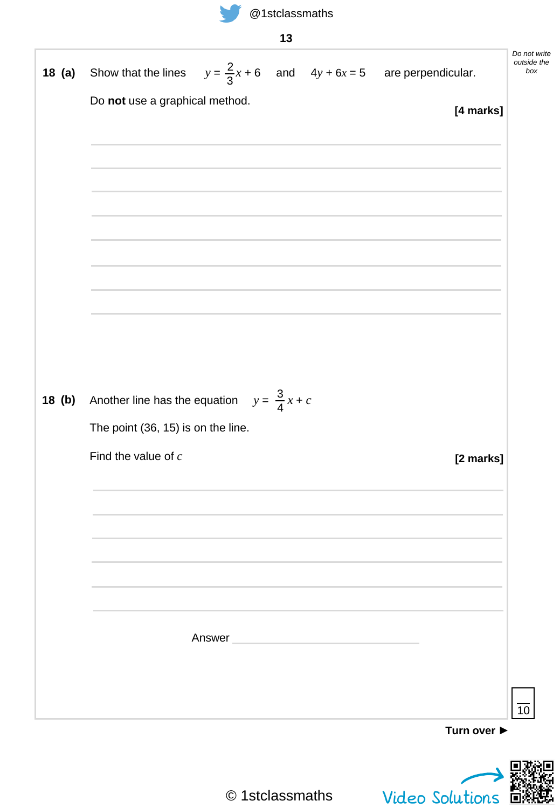

*Do not write outside the box* **13 Turn over ►** 10 **18 (a)** Show that the lines  $y = \frac{2}{5}x + 6$  and  $4y + 6x = 5$  are perpendicular. Do **not** use a graphical method. **[4 marks]** 3 **(a)**  $Another line has the equation$ The point (36, 15) is on the line. Find the value of *c* **[2 marks]** 3 4 Answer **(b)**

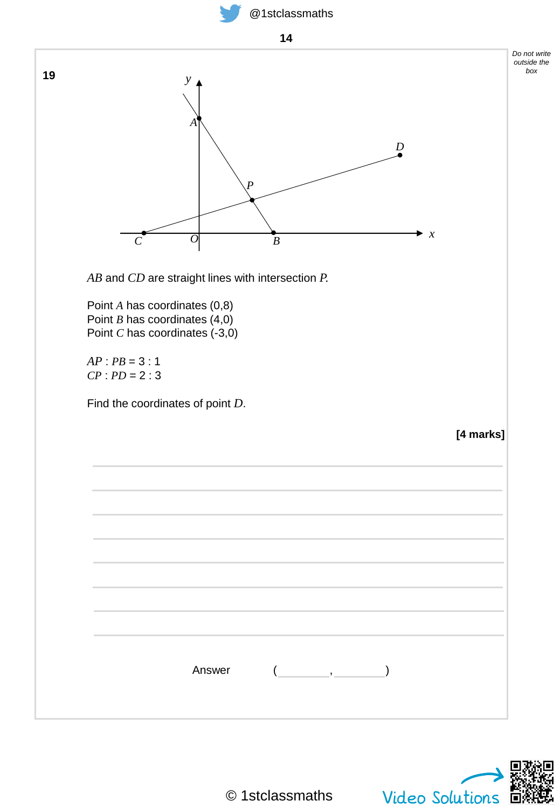



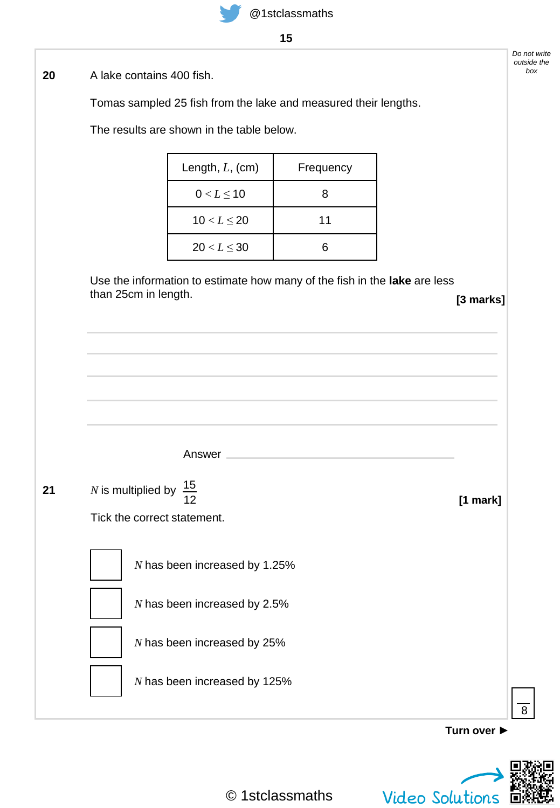**15**

A lake contains 400 fish. **20**

Tomas sampled 25 fish from the lake and measured their lengths.

The results are shown in the table below.

| Length, $L$ , (cm) | Frequency |  |
|--------------------|-----------|--|
| $0 < L \le 10$     | 8         |  |
| $10 < L \le 20$    | 11        |  |
| $20 < L \leq 30$   | ิค        |  |

Use the information to estimate how many of the fish in the **lake** are less than 25cm in length. **[3 marks]**

**Turn over ►** 8 Answer **[1 mark] 21** *N* is multiplied by  $\frac{15}{15}$ Tick the correct statement. 12 *N* has been increased by 1.25% *N* has been increased by 2.5% *N* has been increased by 25% *N* has been increased by 125%



*Do not write outside the box*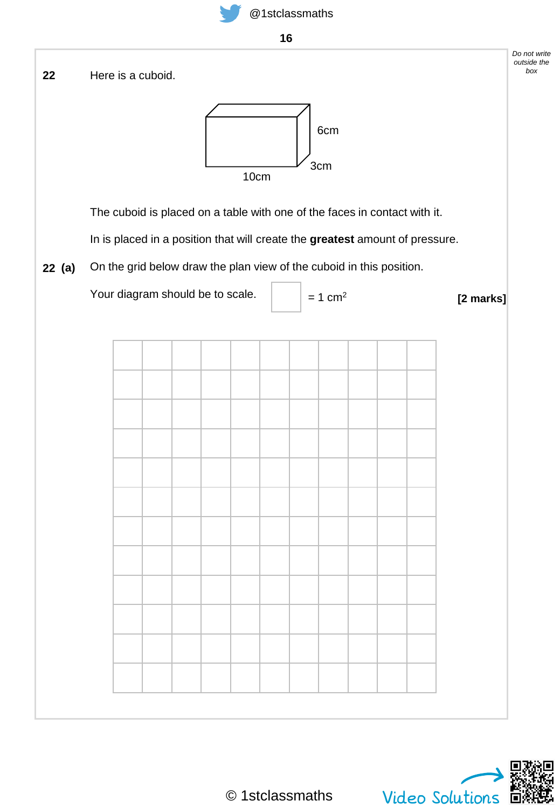



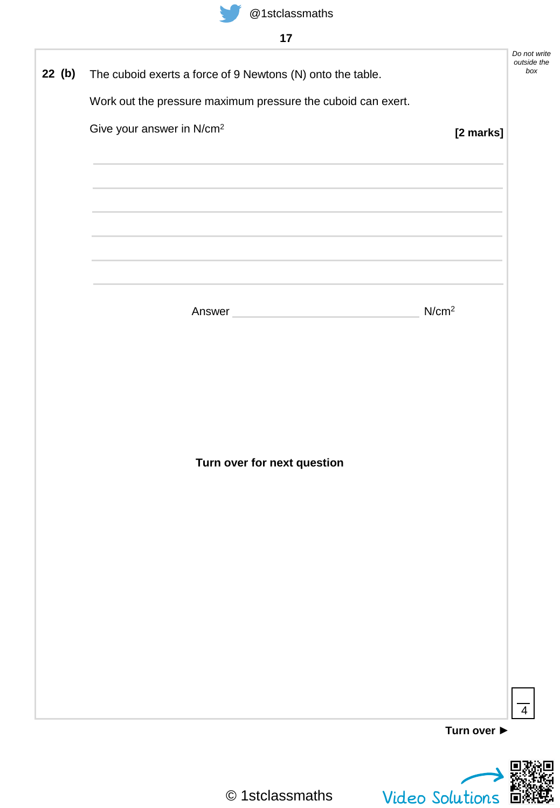|--|

| 22 (b) | The cuboid exerts a force of 9 Newtons (N) onto the table.                                                       |                   | Do not write<br>outside the<br>box |
|--------|------------------------------------------------------------------------------------------------------------------|-------------------|------------------------------------|
|        | Work out the pressure maximum pressure the cuboid can exert.                                                     |                   |                                    |
|        | Give your answer in N/cm <sup>2</sup>                                                                            | [2 marks]         |                                    |
|        |                                                                                                                  |                   |                                    |
|        |                                                                                                                  |                   |                                    |
|        | and the control of the control of the control of the control of the control of the control of the control of the |                   |                                    |
|        | and the control of the control of the control of the control of the control of the control of the control of the |                   |                                    |
|        |                                                                                                                  |                   |                                    |
|        |                                                                                                                  |                   |                                    |
|        | Answer and the contract of the contract of the contract of the contract of the contract of the contract of the   | N/cm <sup>2</sup> |                                    |
|        |                                                                                                                  |                   |                                    |
|        |                                                                                                                  |                   |                                    |
|        |                                                                                                                  |                   |                                    |
|        |                                                                                                                  |                   |                                    |
|        |                                                                                                                  |                   |                                    |
|        | Turn over for next question                                                                                      |                   |                                    |
|        |                                                                                                                  |                   |                                    |
|        |                                                                                                                  |                   |                                    |
|        |                                                                                                                  |                   |                                    |
|        |                                                                                                                  |                   |                                    |
|        |                                                                                                                  |                   |                                    |
|        |                                                                                                                  |                   |                                    |
|        |                                                                                                                  |                   |                                    |
|        |                                                                                                                  |                   |                                    |
|        |                                                                                                                  |                   |                                    |
|        |                                                                                                                  | Turn over ▶       |                                    |
|        |                                                                                                                  |                   |                                    |



D教員<br>Wideo Solutions<br>Video Solutions 回線説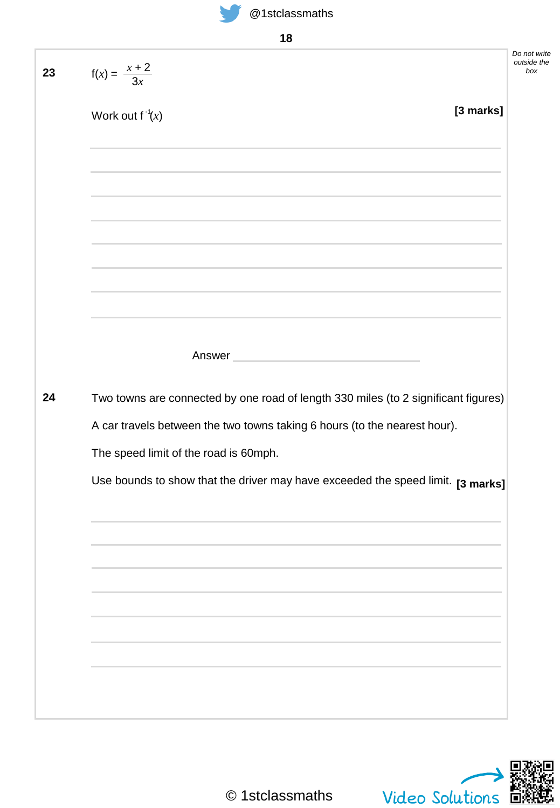

**18**

| $f(x) = \frac{x + 2}{3x}$<br>[3 marks]<br>Work out $f^{-1}(x)$<br><u> 1989 - An Dùbhlachd ann an Dùbhlachd ann an Dùbhlachd ann an Dùbhlachd ann an Dùbhlachd ann an Dùbhlachd ann </u><br>the control of the control of the control of the control of the control of the control of the control of the control of the control of the control of the control of the control of the control of the control of the control<br>a sa mga bagayan ng mga bagayang ng mga bagayang ng mga bagayang ng mga bagayang ng mga bagong ng mga bagong n<br>and the control of the control of the control of the control of the control of the control of the control of the<br>Answer and the contract of the contract of the contract of the contract of the contract of the contract of the<br>Two towns are connected by one road of length 330 miles (to 2 significant figures)<br>A car travels between the two towns taking 6 hours (to the nearest hour).<br>The speed limit of the road is 60mph. |                                                                                 |  |
|----------------------------------------------------------------------------------------------------------------------------------------------------------------------------------------------------------------------------------------------------------------------------------------------------------------------------------------------------------------------------------------------------------------------------------------------------------------------------------------------------------------------------------------------------------------------------------------------------------------------------------------------------------------------------------------------------------------------------------------------------------------------------------------------------------------------------------------------------------------------------------------------------------------------------------------------------------------------------------------------|---------------------------------------------------------------------------------|--|
|                                                                                                                                                                                                                                                                                                                                                                                                                                                                                                                                                                                                                                                                                                                                                                                                                                                                                                                                                                                              |                                                                                 |  |
|                                                                                                                                                                                                                                                                                                                                                                                                                                                                                                                                                                                                                                                                                                                                                                                                                                                                                                                                                                                              |                                                                                 |  |
|                                                                                                                                                                                                                                                                                                                                                                                                                                                                                                                                                                                                                                                                                                                                                                                                                                                                                                                                                                                              |                                                                                 |  |
|                                                                                                                                                                                                                                                                                                                                                                                                                                                                                                                                                                                                                                                                                                                                                                                                                                                                                                                                                                                              |                                                                                 |  |
|                                                                                                                                                                                                                                                                                                                                                                                                                                                                                                                                                                                                                                                                                                                                                                                                                                                                                                                                                                                              |                                                                                 |  |
|                                                                                                                                                                                                                                                                                                                                                                                                                                                                                                                                                                                                                                                                                                                                                                                                                                                                                                                                                                                              |                                                                                 |  |
|                                                                                                                                                                                                                                                                                                                                                                                                                                                                                                                                                                                                                                                                                                                                                                                                                                                                                                                                                                                              |                                                                                 |  |
|                                                                                                                                                                                                                                                                                                                                                                                                                                                                                                                                                                                                                                                                                                                                                                                                                                                                                                                                                                                              |                                                                                 |  |
|                                                                                                                                                                                                                                                                                                                                                                                                                                                                                                                                                                                                                                                                                                                                                                                                                                                                                                                                                                                              |                                                                                 |  |
|                                                                                                                                                                                                                                                                                                                                                                                                                                                                                                                                                                                                                                                                                                                                                                                                                                                                                                                                                                                              |                                                                                 |  |
|                                                                                                                                                                                                                                                                                                                                                                                                                                                                                                                                                                                                                                                                                                                                                                                                                                                                                                                                                                                              |                                                                                 |  |
|                                                                                                                                                                                                                                                                                                                                                                                                                                                                                                                                                                                                                                                                                                                                                                                                                                                                                                                                                                                              | Use bounds to show that the driver may have exceeded the speed limit. [3 marks] |  |
|                                                                                                                                                                                                                                                                                                                                                                                                                                                                                                                                                                                                                                                                                                                                                                                                                                                                                                                                                                                              |                                                                                 |  |
|                                                                                                                                                                                                                                                                                                                                                                                                                                                                                                                                                                                                                                                                                                                                                                                                                                                                                                                                                                                              |                                                                                 |  |
|                                                                                                                                                                                                                                                                                                                                                                                                                                                                                                                                                                                                                                                                                                                                                                                                                                                                                                                                                                                              |                                                                                 |  |
|                                                                                                                                                                                                                                                                                                                                                                                                                                                                                                                                                                                                                                                                                                                                                                                                                                                                                                                                                                                              |                                                                                 |  |
|                                                                                                                                                                                                                                                                                                                                                                                                                                                                                                                                                                                                                                                                                                                                                                                                                                                                                                                                                                                              |                                                                                 |  |

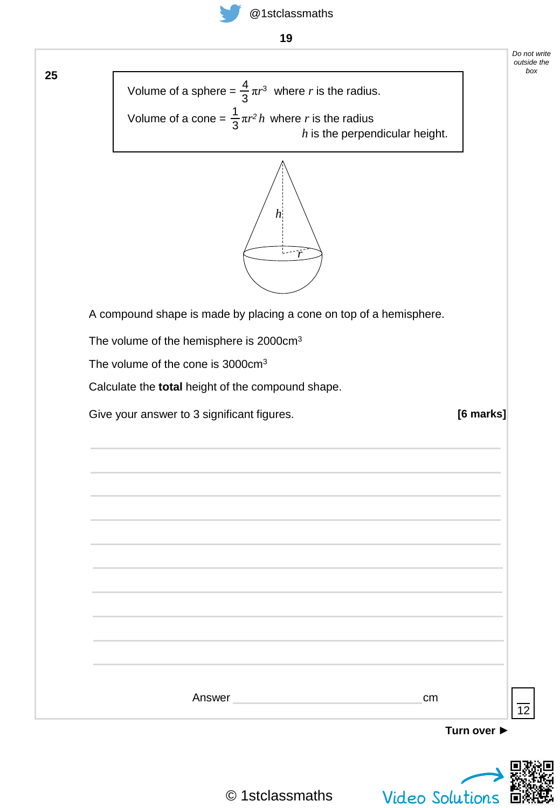

**19**



|                                                                                                     |             | Do not write<br>outside the<br>box |
|-----------------------------------------------------------------------------------------------------|-------------|------------------------------------|
| Volume of a sphere = $\frac{4}{3}\pi r^3$ where r is the radius.                                    |             |                                    |
| Volume of a cone = $\frac{1}{3}\pi r^2 h$ where r is the radius<br>$h$ is the perpendicular height. |             |                                    |
| $\boldsymbol{h}$                                                                                    |             |                                    |
| A compound shape is made by placing a cone on top of a hemisphere.                                  |             |                                    |
| The volume of the hemisphere is 2000cm <sup>3</sup>                                                 |             |                                    |
| The volume of the cone is 3000cm <sup>3</sup>                                                       |             |                                    |
| Calculate the total height of the compound shape.                                                   |             |                                    |
| Give your answer to 3 significant figures.                                                          | [6 marks]   |                                    |
|                                                                                                     |             |                                    |
|                                                                                                     |             |                                    |
|                                                                                                     |             |                                    |
|                                                                                                     |             |                                    |
|                                                                                                     |             |                                    |
|                                                                                                     |             |                                    |
|                                                                                                     |             |                                    |
|                                                                                                     |             |                                    |
|                                                                                                     |             |                                    |
|                                                                                                     |             |                                    |
| Answer<br>cm                                                                                        |             |                                    |
|                                                                                                     |             | 12                                 |
|                                                                                                     | Turn over ▶ |                                    |